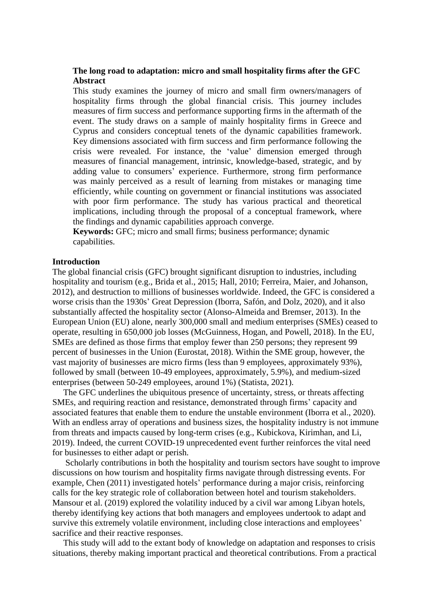# **The long road to adaptation: micro and small hospitality firms after the GFC Abstract**

This study examines the journey of micro and small firm owners/managers of hospitality firms through the global financial crisis. This journey includes measures of firm success and performance supporting firms in the aftermath of the event. The study draws on a sample of mainly hospitality firms in Greece and Cyprus and considers conceptual tenets of the dynamic capabilities framework. Key dimensions associated with firm success and firm performance following the crisis were revealed. For instance, the 'value' dimension emerged through measures of financial management, intrinsic, knowledge-based, strategic, and by adding value to consumers' experience. Furthermore, strong firm performance was mainly perceived as a result of learning from mistakes or managing time efficiently, while counting on government or financial institutions was associated with poor firm performance. The study has various practical and theoretical implications, including through the proposal of a conceptual framework, where the findings and dynamic capabilities approach converge.

**Keywords:** GFC; micro and small firms; business performance; dynamic capabilities.

# **Introduction**

The global financial crisis (GFC) brought significant disruption to industries, including hospitality and tourism (e.g., Brida et al., 2015; Hall, 2010; Ferreira, Maier, and Johanson, 2012), and destruction to millions of businesses worldwide. Indeed, the GFC is considered a worse crisis than the 1930s' Great Depression (Iborra, Safón, and Dolz, 2020), and it also substantially affected the hospitality sector (Alonso-Almeida and Bremser, 2013). In the European Union (EU) alone, nearly 300,000 small and medium enterprises (SMEs) ceased to operate, resulting in 650,000 job losses (McGuinness, Hogan, and Powell, 2018). In the EU, SMEs are defined as those firms that employ fewer than 250 persons; they represent 99 percent of businesses in the Union (Eurostat, 2018). Within the SME group, however, the vast majority of businesses are micro firms (less than 9 employees, approximately 93%), followed by small (between 10-49 employees, approximately, 5.9%), and medium-sized enterprises (between 50-249 employees, around 1%) (Statista, 2021).

 The GFC underlines the ubiquitous presence of uncertainty, stress, or threats affecting SMEs, and requiring reaction and resistance, demonstrated through firms' capacity and associated features that enable them to endure the unstable environment (Iborra et al., 2020). With an endless array of operations and business sizes, the hospitality industry is not immune from threats and impacts caused by long-term crises (e.g., Kubickova, Kirimhan, and Li, 2019). Indeed, the current COVID-19 unprecedented event further reinforces the vital need for businesses to either adapt or perish.

 Scholarly contributions in both the hospitality and tourism sectors have sought to improve discussions on how tourism and hospitality firms navigate through distressing events. For example, Chen (2011) investigated hotels' performance during a major crisis, reinforcing calls for the key strategic role of collaboration between hotel and tourism stakeholders. Mansour et al. (2019) explored the volatility induced by a civil war among Libyan hotels, thereby identifying key actions that both managers and employees undertook to adapt and survive this extremely volatile environment, including close interactions and employees' sacrifice and their reactive responses.

 This study will add to the extant body of knowledge on adaptation and responses to crisis situations, thereby making important practical and theoretical contributions. From a practical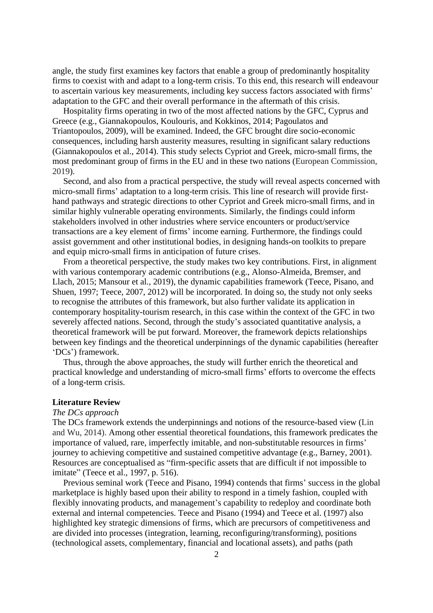angle, the study first examines key factors that enable a group of predominantly hospitality firms to coexist with and adapt to a long-term crisis. To this end, this research will endeavour to ascertain various key measurements, including key success factors associated with firms' adaptation to the GFC and their overall performance in the aftermath of this crisis.

 Hospitality firms operating in two of the most affected nations by the GFC, Cyprus and Greece (e.g., Giannakopoulos, Koulouris, and Kokkinos, 2014; Pagoulatos and Triantopoulos, 2009), will be examined. Indeed, the GFC brought dire socio-economic consequences, including harsh austerity measures, resulting in significant salary reductions (Giannakopoulos et al., 2014). This study selects Cypriot and Greek, micro-small firms, the most predominant group of firms in the EU and in these two nations (European Commission, 2019).

 Second, and also from a practical perspective, the study will reveal aspects concerned with micro-small firms' adaptation to a long-term crisis. This line of research will provide firsthand pathways and strategic directions to other Cypriot and Greek micro-small firms, and in similar highly vulnerable operating environments. Similarly, the findings could inform stakeholders involved in other industries where service encounters or product/service transactions are a key element of firms' income earning. Furthermore, the findings could assist government and other institutional bodies, in designing hands-on toolkits to prepare and equip micro-small firms in anticipation of future crises.

 From a theoretical perspective, the study makes two key contributions. First, in alignment with various contemporary academic contributions (e.g., Alonso-Almeida, Bremser, and Llach, 2015; Mansour et al., 2019), the dynamic capabilities framework (Teece, Pisano, and Shuen, 1997; Teece, 2007, 2012) will be incorporated. In doing so, the study not only seeks to recognise the attributes of this framework, but also further validate its application in contemporary hospitality-tourism research, in this case within the context of the GFC in two severely affected nations. Second, through the study's associated quantitative analysis, a theoretical framework will be put forward. Moreover, the framework depicts relationships between key findings and the theoretical underpinnings of the dynamic capabilities (hereafter 'DCs') framework.

 Thus, through the above approaches, the study will further enrich the theoretical and practical knowledge and understanding of micro-small firms' efforts to overcome the effects of a long-term crisis.

### **Literature Review**

# *The DCs approach*

The DCs framework extends the underpinnings and notions of the resource-based view (Lin and Wu, 2014). Among other essential theoretical foundations, this framework predicates the importance of valued, rare, imperfectly imitable, and non-substitutable resources in firms' journey to achieving competitive and sustained competitive advantage (e.g., Barney, 2001). Resources are conceptualised as "firm-specific assets that are difficult if not impossible to imitate" (Teece et al., 1997, p. 516).

 Previous seminal work (Teece and Pisano, 1994) contends that firms' success in the global marketplace is highly based upon their ability to respond in a timely fashion, coupled with flexibly innovating products, and management's capability to redeploy and coordinate both external and internal competencies. Teece and Pisano (1994) and Teece et al. (1997) also highlighted key strategic dimensions of firms, which are precursors of competitiveness and are divided into processes (integration, learning, reconfiguring/transforming), positions (technological assets, complementary, financial and locational assets), and paths (path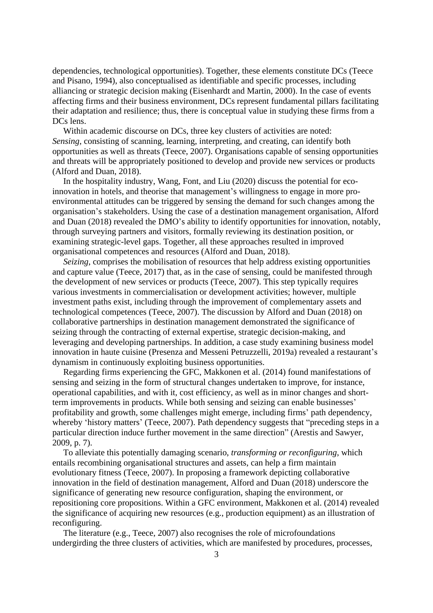dependencies, technological opportunities). Together, these elements constitute DCs (Teece and Pisano, 1994), also conceptualised as identifiable and specific processes, including alliancing or strategic decision making (Eisenhardt and Martin, 2000). In the case of events affecting firms and their business environment, DCs represent fundamental pillars facilitating their adaptation and resilience; thus, there is conceptual value in studying these firms from a DCs lens.

 Within academic discourse on DCs, three key clusters of activities are noted: *Sensing*, consisting of scanning, learning, interpreting, and creating, can identify both opportunities as well as threats (Teece, 2007). Organisations capable of sensing opportunities and threats will be appropriately positioned to develop and provide new services or products (Alford and Duan, 2018).

 In the hospitality industry, Wang, Font, and Liu (2020) discuss the potential for ecoinnovation in hotels, and theorise that management's willingness to engage in more proenvironmental attitudes can be triggered by sensing the demand for such changes among the organisation's stakeholders. Using the case of a destination management organisation, Alford and Duan (2018) revealed the DMO's ability to identify opportunities for innovation, notably, through surveying partners and visitors, formally reviewing its destination position, or examining strategic-level gaps. Together, all these approaches resulted in improved organisational competences and resources (Alford and Duan, 2018).

 *Seizing*, comprises the mobilisation of resources that help address existing opportunities and capture value (Teece, 2017) that, as in the case of sensing, could be manifested through the development of new services or products (Teece, 2007). This step typically requires various investments in commercialisation or development activities; however, multiple investment paths exist, including through the improvement of complementary assets and technological competences (Teece, 2007). The discussion by Alford and Duan (2018) on collaborative partnerships in destination management demonstrated the significance of seizing through the contracting of external expertise, strategic decision-making, and leveraging and developing partnerships. In addition, a case study examining business model innovation in haute cuisine (Presenza and Messeni Petruzzelli, 2019a) revealed a restaurant's dynamism in continuously exploiting business opportunities.

 Regarding firms experiencing the GFC, Makkonen et al. (2014) found manifestations of sensing and seizing in the form of structural changes undertaken to improve, for instance, operational capabilities, and with it, cost efficiency, as well as in minor changes and shortterm improvements in products. While both sensing and seizing can enable businesses' profitability and growth, some challenges might emerge, including firms' path dependency, whereby 'history matters' (Teece, 2007). Path dependency suggests that "preceding steps in a particular direction induce further movement in the same direction" (Arestis and Sawyer, 2009, p. 7).

 To alleviate this potentially damaging scenario, *transforming or reconfiguring*, which entails recombining organisational structures and assets, can help a firm maintain evolutionary fitness (Teece, 2007). In proposing a framework depicting collaborative innovation in the field of destination management, Alford and Duan (2018) underscore the significance of generating new resource configuration, shaping the environment, or repositioning core propositions. Within a GFC environment, Makkonen et al. (2014) revealed the significance of acquiring new resources (e.g., production equipment) as an illustration of reconfiguring.

 The literature (e.g., Teece, 2007) also recognises the role of microfoundations undergirding the three clusters of activities, which are manifested by procedures, processes,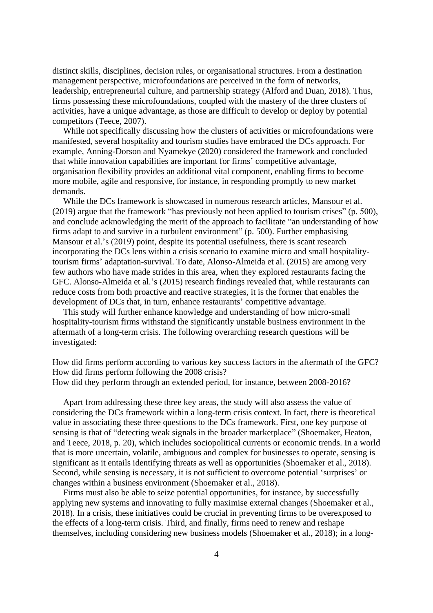distinct skills, disciplines, decision rules, or organisational structures. From a destination management perspective, microfoundations are perceived in the form of networks, leadership, entrepreneurial culture, and partnership strategy (Alford and Duan, 2018). Thus, firms possessing these microfoundations, coupled with the mastery of the three clusters of activities, have a unique advantage, as those are difficult to develop or deploy by potential competitors (Teece, 2007).

 While not specifically discussing how the clusters of activities or microfoundations were manifested, several hospitality and tourism studies have embraced the DCs approach. For example, Anning-Dorson and Nyamekye (2020) considered the framework and concluded that while innovation capabilities are important for firms' competitive advantage, organisation flexibility provides an additional vital component, enabling firms to become more mobile, agile and responsive, for instance, in responding promptly to new market demands.

 While the DCs framework is showcased in numerous research articles, Mansour et al. (2019) argue that the framework "has previously not been applied to tourism crises" (p. 500), and conclude acknowledging the merit of the approach to facilitate "an understanding of how firms adapt to and survive in a turbulent environment" (p. 500). Further emphasising Mansour et al.'s (2019) point, despite its potential usefulness, there is scant research incorporating the DCs lens within a crisis scenario to examine micro and small hospitalitytourism firms' adaptation-survival. To date, Alonso-Almeida et al. (2015) are among very few authors who have made strides in this area, when they explored restaurants facing the GFC. Alonso-Almeida et al.'s (2015) research findings revealed that, while restaurants can reduce costs from both proactive and reactive strategies, it is the former that enables the development of DCs that, in turn, enhance restaurants' competitive advantage.

 This study will further enhance knowledge and understanding of how micro-small hospitality-tourism firms withstand the significantly unstable business environment in the aftermath of a long-term crisis. The following overarching research questions will be investigated:

How did firms perform according to various key success factors in the aftermath of the GFC? How did firms perform following the 2008 crisis? How did they perform through an extended period, for instance, between 2008-2016?

 Apart from addressing these three key areas, the study will also assess the value of considering the DCs framework within a long-term crisis context. In fact, there is theoretical value in associating these three questions to the DCs framework. First, one key purpose of sensing is that of "detecting weak signals in the broader marketplace" (Shoemaker, Heaton, and Teece, 2018, p. 20), which includes sociopolitical currents or economic trends. In a world that is more uncertain, volatile, ambiguous and complex for businesses to operate, sensing is significant as it entails identifying threats as well as opportunities (Shoemaker et al., 2018). Second, while sensing is necessary, it is not sufficient to overcome potential 'surprises' or changes within a business environment (Shoemaker et al., 2018).

 Firms must also be able to seize potential opportunities, for instance, by successfully applying new systems and innovating to fully maximise external changes (Shoemaker et al., 2018). In a crisis, these initiatives could be crucial in preventing firms to be overexposed to the effects of a long-term crisis. Third, and finally, firms need to renew and reshape themselves, including considering new business models (Shoemaker et al., 2018); in a long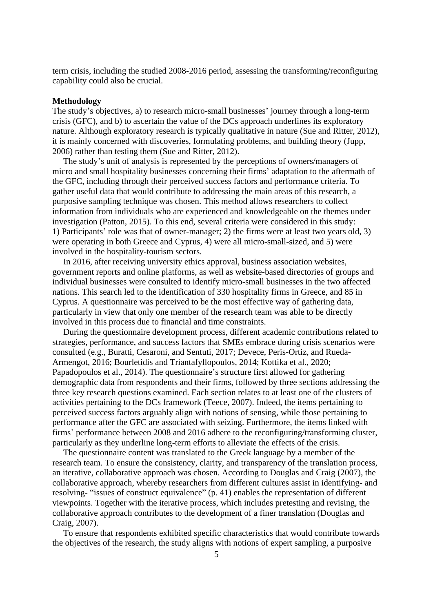term crisis, including the studied 2008-2016 period, assessing the transforming/reconfiguring capability could also be crucial.

## **Methodology**

The study's objectives, a) to research micro-small businesses' journey through a long-term crisis (GFC), and b) to ascertain the value of the DCs approach underlines its exploratory nature. Although exploratory research is typically qualitative in nature (Sue and Ritter, 2012), it is mainly concerned with discoveries, formulating problems, and building theory (Jupp, 2006) rather than testing them (Sue and Ritter, 2012).

 The study's unit of analysis is represented by the perceptions of owners/managers of micro and small hospitality businesses concerning their firms' adaptation to the aftermath of the GFC, including through their perceived success factors and performance criteria. To gather useful data that would contribute to addressing the main areas of this research, a purposive sampling technique was chosen. This method allows researchers to collect information from individuals who are experienced and knowledgeable on the themes under investigation (Patton, 2015). To this end, several criteria were considered in this study: 1) Participants' role was that of owner-manager; 2) the firms were at least two years old, 3) were operating in both Greece and Cyprus, 4) were all micro-small-sized, and 5) were involved in the hospitality-tourism sectors.

 In 2016, after receiving university ethics approval, business association websites, government reports and online platforms, as well as website-based directories of groups and individual businesses were consulted to identify micro-small businesses in the two affected nations. This search led to the identification of 330 hospitality firms in Greece, and 85 in Cyprus. A questionnaire was perceived to be the most effective way of gathering data, particularly in view that only one member of the research team was able to be directly involved in this process due to financial and time constraints.

 During the questionnaire development process, different academic contributions related to strategies, performance, and success factors that SMEs embrace during crisis scenarios were consulted (e.g., Buratti, Cesaroni, and Sentuti, 2017; Devece, Peris-Ortiz, and Rueda-Armengot, 2016; Bourletidis and Triantafyllopoulos, 2014; Kottika et al., 2020; Papadopoulos et al., 2014). The questionnaire's structure first allowed for gathering demographic data from respondents and their firms, followed by three sections addressing the three key research questions examined. Each section relates to at least one of the clusters of activities pertaining to the DCs framework (Teece, 2007). Indeed, the items pertaining to perceived success factors arguably align with notions of sensing, while those pertaining to performance after the GFC are associated with seizing. Furthermore, the items linked with firms' performance between 2008 and 2016 adhere to the reconfiguring/transforming cluster, particularly as they underline long-term efforts to alleviate the effects of the crisis.

 The questionnaire content was translated to the Greek language by a member of the research team. To ensure the consistency, clarity, and transparency of the translation process, an iterative, collaborative approach was chosen. According to Douglas and Craig (2007), the collaborative approach, whereby researchers from different cultures assist in identifying- and resolving- "issues of construct equivalence" (p. 41) enables the representation of different viewpoints. Together with the iterative process, which includes pretesting and revising, the collaborative approach contributes to the development of a finer translation (Douglas and Craig, 2007).

 To ensure that respondents exhibited specific characteristics that would contribute towards the objectives of the research, the study aligns with notions of expert sampling, a purposive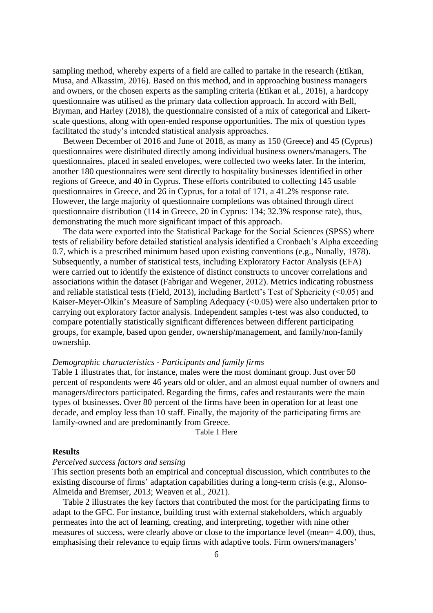sampling method, whereby experts of a field are called to partake in the research (Etikan, Musa, and Alkassim, 2016). Based on this method, and in approaching business managers and owners, or the chosen experts as the sampling criteria (Etikan et al., 2016), a hardcopy questionnaire was utilised as the primary data collection approach. In accord with Bell, Bryman, and Harley (2018), the questionnaire consisted of a mix of categorical and Likertscale questions, along with open-ended response opportunities. The mix of question types facilitated the study's intended statistical analysis approaches.

 Between December of 2016 and June of 2018, as many as 150 (Greece) and 45 (Cyprus) questionnaires were distributed directly among individual business owners/managers. The questionnaires, placed in sealed envelopes, were collected two weeks later. In the interim, another 180 questionnaires were sent directly to hospitality businesses identified in other regions of Greece, and 40 in Cyprus. These efforts contributed to collecting 145 usable questionnaires in Greece, and 26 in Cyprus, for a total of 171, a 41.2% response rate. However, the large majority of questionnaire completions was obtained through direct questionnaire distribution (114 in Greece, 20 in Cyprus: 134; 32.3% response rate), thus, demonstrating the much more significant impact of this approach.

 The data were exported into the Statistical Package for the Social Sciences (SPSS) where tests of reliability before detailed statistical analysis identified a Cronbach's Alpha exceeding 0.7, which is a prescribed minimum based upon existing conventions (e.g., Nunally, 1978). Subsequently, a number of statistical tests, including Exploratory Factor Analysis (EFA) were carried out to identify the existence of distinct constructs to uncover correlations and associations within the dataset (Fabrigar and Wegener, 2012). Metrics indicating robustness and reliable statistical tests (Field, 2013), including Bartlett's Test of Sphericity (<0.05) and Kaiser-Meyer-Olkin's Measure of Sampling Adequacy (<0.05) were also undertaken prior to carrying out exploratory factor analysis. Independent samples t-test was also conducted, to compare potentially statistically significant differences between different participating groups, for example, based upon gender, ownership/management, and family/non-family ownership.

# *Demographic characteristics - Participants and family firms*

Table 1 illustrates that, for instance, males were the most dominant group. Just over 50 percent of respondents were 46 years old or older, and an almost equal number of owners and managers/directors participated. Regarding the firms, cafes and restaurants were the main types of businesses. Over 80 percent of the firms have been in operation for at least one decade, and employ less than 10 staff. Finally, the majority of the participating firms are family-owned and are predominantly from Greece.

Table 1 Here

## **Results**

#### *Perceived success factors and sensing*

This section presents both an empirical and conceptual discussion, which contributes to the existing discourse of firms' adaptation capabilities during a long-term crisis (e.g., Alonso-Almeida and Bremser, 2013; Weaven et al., 2021).

 Table 2 illustrates the key factors that contributed the most for the participating firms to adapt to the GFC. For instance, building trust with external stakeholders, which arguably permeates into the act of learning, creating, and interpreting, together with nine other measures of success, were clearly above or close to the importance level (mean= 4.00), thus, emphasising their relevance to equip firms with adaptive tools. Firm owners/managers'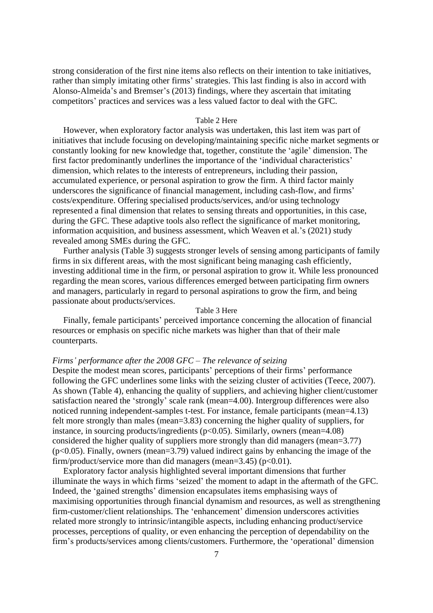strong consideration of the first nine items also reflects on their intention to take initiatives, rather than simply imitating other firms' strategies. This last finding is also in accord with Alonso-Almeida's and Bremser's (2013) findings, where they ascertain that imitating competitors' practices and services was a less valued factor to deal with the GFC.

#### Table 2 Here

 However, when exploratory factor analysis was undertaken, this last item was part of initiatives that include focusing on developing/maintaining specific niche market segments or constantly looking for new knowledge that, together, constitute the 'agile' dimension. The first factor predominantly underlines the importance of the 'individual characteristics' dimension, which relates to the interests of entrepreneurs, including their passion, accumulated experience, or personal aspiration to grow the firm. A third factor mainly underscores the significance of financial management, including cash-flow, and firms' costs/expenditure. Offering specialised products/services, and/or using technology represented a final dimension that relates to sensing threats and opportunities, in this case, during the GFC. These adaptive tools also reflect the significance of market monitoring, information acquisition, and business assessment, which Weaven et al.'s (2021) study revealed among SMEs during the GFC.

 Further analysis (Table 3) suggests stronger levels of sensing among participants of family firms in six different areas, with the most significant being managing cash efficiently, investing additional time in the firm, or personal aspiration to grow it. While less pronounced regarding the mean scores, various differences emerged between participating firm owners and managers, particularly in regard to personal aspirations to grow the firm, and being passionate about products/services.

## Table 3 Here

 Finally, female participants' perceived importance concerning the allocation of financial resources or emphasis on specific niche markets was higher than that of their male counterparts.

#### *Firms' performance after the 2008 GFC – The relevance of seizing*

Despite the modest mean scores, participants' perceptions of their firms' performance following the GFC underlines some links with the seizing cluster of activities (Teece, 2007). As shown (Table 4), enhancing the quality of suppliers, and achieving higher client/customer satisfaction neared the 'strongly' scale rank (mean=4.00). Intergroup differences were also noticed running independent-samples t-test. For instance, female participants (mean=4.13) felt more strongly than males (mean=3.83) concerning the higher quality of suppliers, for instance, in sourcing products/ingredients (p<0.05). Similarly, owners (mean=4.08) considered the higher quality of suppliers more strongly than did managers (mean=3.77)  $(p<0.05)$ . Finally, owners (mean=3.79) valued indirect gains by enhancing the image of the firm/product/service more than did managers (mean= $3.45$ ) (p<0.01).

 Exploratory factor analysis highlighted several important dimensions that further illuminate the ways in which firms 'seized' the moment to adapt in the aftermath of the GFC. Indeed, the 'gained strengths' dimension encapsulates items emphasising ways of maximising opportunities through financial dynamism and resources, as well as strengthening firm-customer/client relationships. The 'enhancement' dimension underscores activities related more strongly to intrinsic/intangible aspects, including enhancing product/service processes, perceptions of quality, or even enhancing the perception of dependability on the firm's products/services among clients/customers. Furthermore, the 'operational' dimension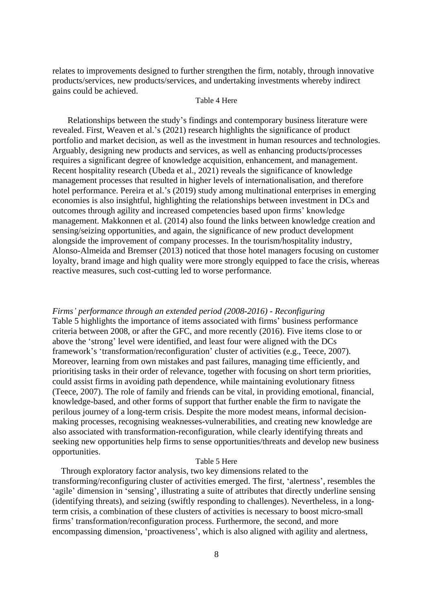relates to improvements designed to further strengthen the firm, notably, through innovative products/services, new products/services, and undertaking investments whereby indirect gains could be achieved.

# Table 4 Here

 Relationships between the study's findings and contemporary business literature were revealed. First, Weaven et al.'s (2021) research highlights the significance of product portfolio and market decision, as well as the investment in human resources and technologies. Arguably, designing new products and services, as well as enhancing products/processes requires a significant degree of knowledge acquisition, enhancement, and management. Recent hospitality research (Ubeda et al., 2021) reveals the significance of knowledge management processes that resulted in higher levels of internationalisation, and therefore hotel performance. Pereira et al.'s (2019) study among multinational enterprises in emerging economies is also insightful, highlighting the relationships between investment in DCs and outcomes through agility and increased competencies based upon firms' knowledge management. Makkonnen et al. (2014) also found the links between knowledge creation and sensing/seizing opportunities, and again, the significance of new product development alongside the improvement of company processes. In the tourism/hospitality industry, Alonso-Almeida and Bremser (2013) noticed that those hotel managers focusing on customer loyalty, brand image and high quality were more strongly equipped to face the crisis, whereas reactive measures, such cost-cutting led to worse performance.

*Firms' performance through an extended period (2008-2016) - Reconfiguring* Table 5 highlights the importance of items associated with firms' business performance criteria between 2008, or after the GFC, and more recently (2016). Five items close to or above the 'strong' level were identified, and least four were aligned with the DCs framework's 'transformation/reconfiguration' cluster of activities (e.g., Teece, 2007). Moreover, learning from own mistakes and past failures, managing time efficiently, and prioritising tasks in their order of relevance, together with focusing on short term priorities, could assist firms in avoiding path dependence, while maintaining evolutionary fitness (Teece, 2007). The role of family and friends can be vital, in providing emotional, financial, knowledge-based, and other forms of support that further enable the firm to navigate the perilous journey of a long-term crisis. Despite the more modest means, informal decisionmaking processes, recognising weaknesses-vulnerabilities, and creating new knowledge are also associated with transformation-reconfiguration, while clearly identifying threats and seeking new opportunities help firms to sense opportunities/threats and develop new business opportunities.

## Table 5 Here

 Through exploratory factor analysis, two key dimensions related to the transforming/reconfiguring cluster of activities emerged. The first, 'alertness', resembles the 'agile' dimension in 'sensing', illustrating a suite of attributes that directly underline sensing (identifying threats), and seizing (swiftly responding to challenges). Nevertheless, in a longterm crisis, a combination of these clusters of activities is necessary to boost micro-small firms' transformation/reconfiguration process. Furthermore, the second, and more encompassing dimension, 'proactiveness', which is also aligned with agility and alertness,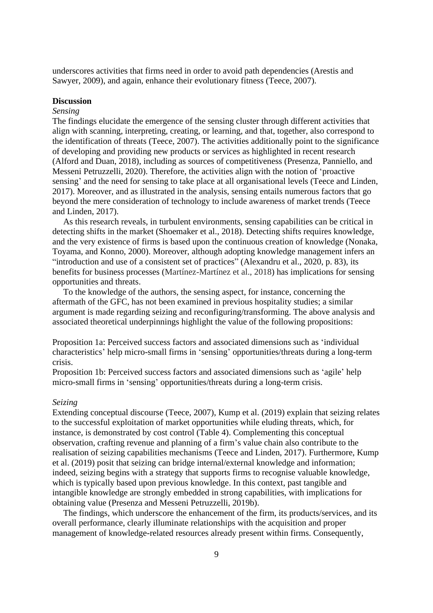underscores activities that firms need in order to avoid path dependencies (Arestis and Sawyer, 2009), and again, enhance their evolutionary fitness (Teece, 2007).

# **Discussion**

# *Sensing*

The findings elucidate the emergence of the sensing cluster through different activities that align with scanning, interpreting, creating, or learning, and that, together, also correspond to the identification of threats (Teece, 2007). The activities additionally point to the significance of developing and providing new products or services as highlighted in recent research (Alford and Duan, 2018), including as sources of competitiveness (Presenza, Panniello, and Messeni Petruzzelli, 2020). Therefore, the activities align with the notion of 'proactive sensing' and the need for sensing to take place at all organisational levels (Teece and Linden, 2017). Moreover, and as illustrated in the analysis, sensing entails numerous factors that go beyond the mere consideration of technology to include awareness of market trends (Teece and Linden, 2017).

 As this research reveals, in turbulent environments, sensing capabilities can be critical in detecting shifts in the market (Shoemaker et al., 2018). Detecting shifts requires knowledge, and the very existence of firms is based upon the continuous creation of knowledge (Nonaka, Toyama, and Konno, 2000). Moreover, although adopting knowledge management infers an "introduction and use of a consistent set of practices" (Alexandru et al., 2020, p. 83), its benefits for business processes (Martínez-Martínez et al., 2018) has implications for sensing opportunities and threats.

 To the knowledge of the authors, the sensing aspect, for instance, concerning the aftermath of the GFC, has not been examined in previous hospitality studies; a similar argument is made regarding seizing and reconfiguring/transforming. The above analysis and associated theoretical underpinnings highlight the value of the following propositions:

Proposition 1a: Perceived success factors and associated dimensions such as 'individual characteristics' help micro-small firms in 'sensing' opportunities/threats during a long-term crisis.

Proposition 1b: Perceived success factors and associated dimensions such as 'agile' help micro-small firms in 'sensing' opportunities/threats during a long-term crisis.

## *Seizing*

Extending conceptual discourse (Teece, 2007), Kump et al. (2019) explain that seizing relates to the successful exploitation of market opportunities while eluding threats, which, for instance, is demonstrated by cost control (Table 4). Complementing this conceptual observation, crafting revenue and planning of a firm's value chain also contribute to the realisation of seizing capabilities mechanisms (Teece and Linden, 2017). Furthermore, Kump et al. (2019) posit that seizing can bridge internal/external knowledge and information; indeed, seizing begins with a strategy that supports firms to recognise valuable knowledge, which is typically based upon previous knowledge. In this context, past tangible and intangible knowledge are strongly embedded in strong capabilities, with implications for obtaining value (Presenza and Messeni Petruzzelli, 2019b).

 The findings, which underscore the enhancement of the firm, its products/services, and its overall performance, clearly illuminate relationships with the acquisition and proper management of knowledge-related resources already present within firms. Consequently,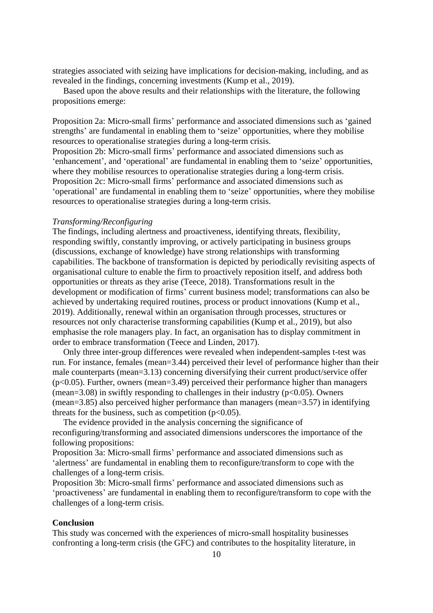strategies associated with seizing have implications for decision-making, including, and as revealed in the findings, concerning investments (Kump et al., 2019).

 Based upon the above results and their relationships with the literature, the following propositions emerge:

Proposition 2a: Micro-small firms' performance and associated dimensions such as 'gained strengths' are fundamental in enabling them to 'seize' opportunities, where they mobilise resources to operationalise strategies during a long-term crisis.

Proposition 2b: Micro-small firms' performance and associated dimensions such as 'enhancement', and 'operational' are fundamental in enabling them to 'seize' opportunities, where they mobilise resources to operationalise strategies during a long-term crisis. Proposition 2c: Micro-small firms' performance and associated dimensions such as 'operational' are fundamental in enabling them to 'seize' opportunities, where they mobilise resources to operationalise strategies during a long-term crisis.

#### *Transforming/Reconfiguring*

The findings, including alertness and proactiveness, identifying threats, flexibility, responding swiftly, constantly improving, or actively participating in business groups (discussions, exchange of knowledge) have strong relationships with transforming capabilities. The backbone of transformation is depicted by periodically revisiting aspects of organisational culture to enable the firm to proactively reposition itself, and address both opportunities or threats as they arise (Teece, 2018). Transformations result in the development or modification of firms' current business model; transformations can also be achieved by undertaking required routines, process or product innovations (Kump et al., 2019). Additionally, renewal within an organisation through processes, structures or resources not only characterise transforming capabilities (Kump et al., 2019), but also emphasise the role managers play. In fact, an organisation has to display commitment in order to embrace transformation (Teece and Linden, 2017).

 Only three inter-group differences were revealed when independent-samples t-test was run. For instance, females (mean=3.44) perceived their level of performance higher than their male counterparts (mean=3.13) concerning diversifying their current product/service offer  $(p<0.05)$ . Further, owners (mean=3.49) perceived their performance higher than managers (mean=3.08) in swiftly responding to challenges in their industry ( $p<0.05$ ). Owners (mean=3.85) also perceived higher performance than managers (mean=3.57) in identifying threats for the business, such as competition  $(p<0.05)$ .

 The evidence provided in the analysis concerning the significance of reconfiguring/transforming and associated dimensions underscores the importance of the following propositions:

Proposition 3a: Micro-small firms' performance and associated dimensions such as 'alertness' are fundamental in enabling them to reconfigure/transform to cope with the challenges of a long-term crisis.

Proposition 3b: Micro-small firms' performance and associated dimensions such as 'proactiveness' are fundamental in enabling them to reconfigure/transform to cope with the challenges of a long-term crisis.

# **Conclusion**

This study was concerned with the experiences of micro-small hospitality businesses confronting a long-term crisis (the GFC) and contributes to the hospitality literature, in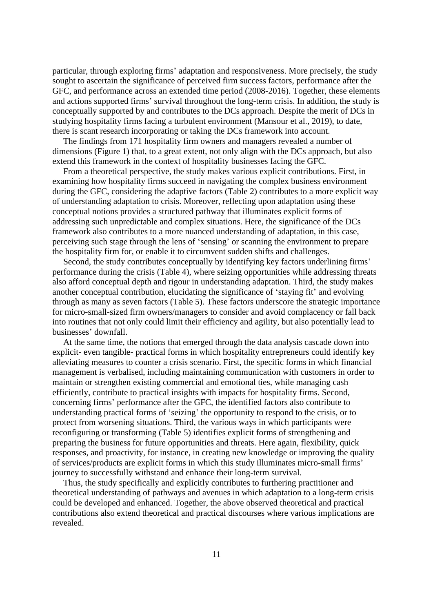particular, through exploring firms' adaptation and responsiveness. More precisely, the study sought to ascertain the significance of perceived firm success factors, performance after the GFC, and performance across an extended time period (2008-2016). Together, these elements and actions supported firms' survival throughout the long-term crisis. In addition, the study is conceptually supported by and contributes to the DCs approach. Despite the merit of DCs in studying hospitality firms facing a turbulent environment (Mansour et al., 2019), to date, there is scant research incorporating or taking the DCs framework into account.

 The findings from 171 hospitality firm owners and managers revealed a number of dimensions (Figure 1) that, to a great extent, not only align with the DCs approach, but also extend this framework in the context of hospitality businesses facing the GFC.

 From a theoretical perspective, the study makes various explicit contributions. First, in examining how hospitality firms succeed in navigating the complex business environment during the GFC, considering the adaptive factors (Table 2) contributes to a more explicit way of understanding adaptation to crisis. Moreover, reflecting upon adaptation using these conceptual notions provides a structured pathway that illuminates explicit forms of addressing such unpredictable and complex situations. Here, the significance of the DCs framework also contributes to a more nuanced understanding of adaptation, in this case, perceiving such stage through the lens of 'sensing' or scanning the environment to prepare the hospitality firm for, or enable it to circumvent sudden shifts and challenges.

 Second, the study contributes conceptually by identifying key factors underlining firms' performance during the crisis (Table 4), where seizing opportunities while addressing threats also afford conceptual depth and rigour in understanding adaptation. Third, the study makes another conceptual contribution, elucidating the significance of 'staying fit' and evolving through as many as seven factors (Table 5). These factors underscore the strategic importance for micro-small-sized firm owners/managers to consider and avoid complacency or fall back into routines that not only could limit their efficiency and agility, but also potentially lead to businesses' downfall.

 At the same time, the notions that emerged through the data analysis cascade down into explicit- even tangible- practical forms in which hospitality entrepreneurs could identify key alleviating measures to counter a crisis scenario. First, the specific forms in which financial management is verbalised, including maintaining communication with customers in order to maintain or strengthen existing commercial and emotional ties, while managing cash efficiently, contribute to practical insights with impacts for hospitality firms. Second, concerning firms' performance after the GFC, the identified factors also contribute to understanding practical forms of 'seizing' the opportunity to respond to the crisis, or to protect from worsening situations. Third, the various ways in which participants were reconfiguring or transforming (Table 5) identifies explicit forms of strengthening and preparing the business for future opportunities and threats. Here again, flexibility, quick responses, and proactivity, for instance, in creating new knowledge or improving the quality of services/products are explicit forms in which this study illuminates micro-small firms' journey to successfully withstand and enhance their long-term survival.

 Thus, the study specifically and explicitly contributes to furthering practitioner and theoretical understanding of pathways and avenues in which adaptation to a long-term crisis could be developed and enhanced. Together, the above observed theoretical and practical contributions also extend theoretical and practical discourses where various implications are revealed.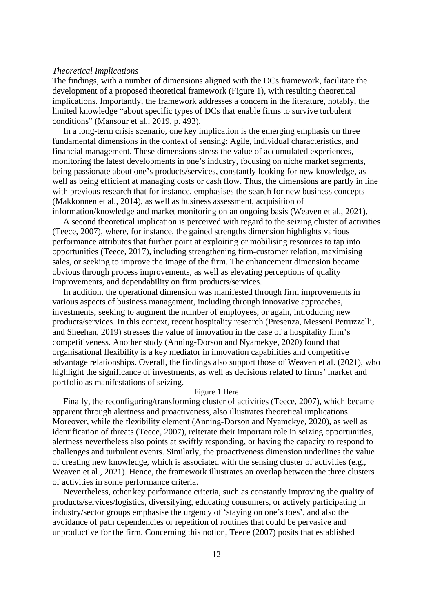### *Theoretical Implications*

The findings, with a number of dimensions aligned with the DCs framework, facilitate the development of a proposed theoretical framework (Figure 1), with resulting theoretical implications. Importantly, the framework addresses a concern in the literature, notably, the limited knowledge "about specific types of DCs that enable firms to survive turbulent conditions" (Mansour et al., 2019, p. 493).

 In a long-term crisis scenario, one key implication is the emerging emphasis on three fundamental dimensions in the context of sensing: Agile, individual characteristics, and financial management. These dimensions stress the value of accumulated experiences, monitoring the latest developments in one's industry, focusing on niche market segments, being passionate about one's products/services, constantly looking for new knowledge, as well as being efficient at managing costs or cash flow. Thus, the dimensions are partly in line with previous research that for instance, emphasises the search for new business concepts (Makkonnen et al., 2014), as well as business assessment, acquisition of information/knowledge and market monitoring on an ongoing basis (Weaven et al., 2021).

 A second theoretical implication is perceived with regard to the seizing cluster of activities (Teece, 2007), where, for instance, the gained strengths dimension highlights various performance attributes that further point at exploiting or mobilising resources to tap into opportunities (Teece, 2017), including strengthening firm-customer relation, maximising sales, or seeking to improve the image of the firm. The enhancement dimension became obvious through process improvements, as well as elevating perceptions of quality improvements, and dependability on firm products/services.

 In addition, the operational dimension was manifested through firm improvements in various aspects of business management, including through innovative approaches, investments, seeking to augment the number of employees, or again, introducing new products/services. In this context, recent hospitality research (Presenza, Messeni Petruzzelli, and Sheehan, 2019) stresses the value of innovation in the case of a hospitality firm's competitiveness. Another study (Anning-Dorson and Nyamekye, 2020) found that organisational flexibility is a key mediator in innovation capabilities and competitive advantage relationships. Overall, the findings also support those of Weaven et al. (2021), who highlight the significance of investments, as well as decisions related to firms' market and portfolio as manifestations of seizing.

#### Figure 1 Here

 Finally, the reconfiguring/transforming cluster of activities (Teece, 2007), which became apparent through alertness and proactiveness, also illustrates theoretical implications. Moreover, while the flexibility element (Anning-Dorson and Nyamekye, 2020), as well as identification of threats (Teece, 2007), reiterate their important role in seizing opportunities, alertness nevertheless also points at swiftly responding, or having the capacity to respond to challenges and turbulent events. Similarly, the proactiveness dimension underlines the value of creating new knowledge, which is associated with the sensing cluster of activities (e.g., Weaven et al., 2021). Hence, the framework illustrates an overlap between the three clusters of activities in some performance criteria.

 Nevertheless, other key performance criteria, such as constantly improving the quality of products/services/logistics, diversifying, educating consumers, or actively participating in industry/sector groups emphasise the urgency of 'staying on one's toes', and also the avoidance of path dependencies or repetition of routines that could be pervasive and unproductive for the firm. Concerning this notion, Teece (2007) posits that established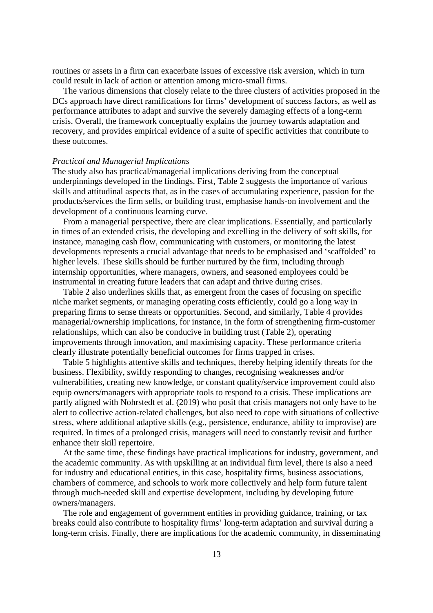routines or assets in a firm can exacerbate issues of excessive risk aversion, which in turn could result in lack of action or attention among micro-small firms.

 The various dimensions that closely relate to the three clusters of activities proposed in the DCs approach have direct ramifications for firms' development of success factors, as well as performance attributes to adapt and survive the severely damaging effects of a long-term crisis. Overall, the framework conceptually explains the journey towards adaptation and recovery, and provides empirical evidence of a suite of specific activities that contribute to these outcomes.

#### *Practical and Managerial Implications*

The study also has practical/managerial implications deriving from the conceptual underpinnings developed in the findings. First, Table 2 suggests the importance of various skills and attitudinal aspects that, as in the cases of accumulating experience, passion for the products/services the firm sells, or building trust, emphasise hands-on involvement and the development of a continuous learning curve.

 From a managerial perspective, there are clear implications. Essentially, and particularly in times of an extended crisis, the developing and excelling in the delivery of soft skills, for instance, managing cash flow, communicating with customers, or monitoring the latest developments represents a crucial advantage that needs to be emphasised and 'scaffolded' to higher levels. These skills should be further nurtured by the firm, including through internship opportunities, where managers, owners, and seasoned employees could be instrumental in creating future leaders that can adapt and thrive during crises.

 Table 2 also underlines skills that, as emergent from the cases of focusing on specific niche market segments, or managing operating costs efficiently, could go a long way in preparing firms to sense threats or opportunities. Second, and similarly, Table 4 provides managerial/ownership implications, for instance, in the form of strengthening firm-customer relationships, which can also be conducive in building trust (Table 2), operating improvements through innovation, and maximising capacity. These performance criteria clearly illustrate potentially beneficial outcomes for firms trapped in crises.

 Table 5 highlights attentive skills and techniques, thereby helping identify threats for the business. Flexibility, swiftly responding to changes, recognising weaknesses and/or vulnerabilities, creating new knowledge, or constant quality/service improvement could also equip owners/managers with appropriate tools to respond to a crisis. These implications are partly aligned with Nohrstedt et al. (2019) who posit that crisis managers not only have to be alert to collective action-related challenges, but also need to cope with situations of collective stress, where additional adaptive skills (e.g., persistence, endurance, ability to improvise) are required. In times of a prolonged crisis, managers will need to constantly revisit and further enhance their skill repertoire.

 At the same time, these findings have practical implications for industry, government, and the academic community. As with upskilling at an individual firm level, there is also a need for industry and educational entities, in this case, hospitality firms, business associations, chambers of commerce, and schools to work more collectively and help form future talent through much-needed skill and expertise development, including by developing future owners/managers.

 The role and engagement of government entities in providing guidance, training, or tax breaks could also contribute to hospitality firms' long-term adaptation and survival during a long-term crisis. Finally, there are implications for the academic community, in disseminating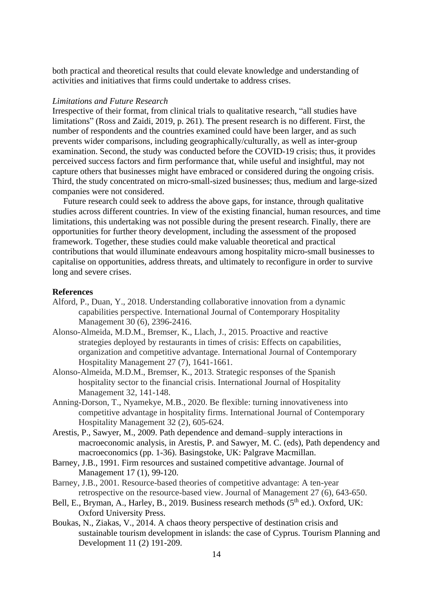both practical and theoretical results that could elevate knowledge and understanding of activities and initiatives that firms could undertake to address crises.

#### *Limitations and Future Research*

Irrespective of their format, from clinical trials to qualitative research, "all studies have limitations" (Ross and Zaidi, 2019, p. 261). The present research is no different. First, the number of respondents and the countries examined could have been larger, and as such prevents wider comparisons, including geographically/culturally, as well as inter-group examination. Second, the study was conducted before the COVID-19 crisis; thus, it provides perceived success factors and firm performance that, while useful and insightful, may not capture others that businesses might have embraced or considered during the ongoing crisis. Third, the study concentrated on micro-small-sized businesses; thus, medium and large-sized companies were not considered.

 Future research could seek to address the above gaps, for instance, through qualitative studies across different countries. In view of the existing financial, human resources, and time limitations, this undertaking was not possible during the present research. Finally, there are opportunities for further theory development, including the assessment of the proposed framework. Together, these studies could make valuable theoretical and practical contributions that would illuminate endeavours among hospitality micro-small businesses to capitalise on opportunities, address threats, and ultimately to reconfigure in order to survive long and severe crises.

## **References**

- Alford, P., Duan, Y., 2018. Understanding collaborative innovation from a dynamic capabilities perspective. International Journal of Contemporary Hospitality Management 30 (6), 2396-2416.
- Alonso-Almeida, M.D.M., Bremser, K., Llach, J., 2015. Proactive and reactive strategies deployed by restaurants in times of crisis: Effects on capabilities, organization and competitive advantage. International Journal of Contemporary Hospitality Management 27 (7), 1641-1661.
- Alonso-Almeida, M.D.M., Bremser, K., 2013. Strategic responses of the Spanish hospitality sector to the financial crisis. International Journal of Hospitality Management 32, 141-148.
- Anning-Dorson, T., Nyamekye, M.B., 2020. Be flexible: turning innovativeness into competitive advantage in hospitality firms. International Journal of Contemporary Hospitality Management 32 (2), 605-624.
- Arestis, P., Sawyer, M., 2009. Path dependence and demand–supply interactions in macroeconomic analysis, in Arestis, P. and Sawyer, M. C. (eds), Path dependency and macroeconomics (pp. 1-36). Basingstoke, UK: Palgrave Macmillan.
- Barney, J.B., 1991. Firm resources and sustained competitive advantage. Journal of Management 17 (1), 99-120.
- Barney, J.B., 2001. Resource-based theories of competitive advantage: A ten-year retrospective on the resource-based view. Journal of Management 27 (6), 643-650.
- Bell, E., Bryman, A., Harley, B., 2019. Business research methods (5<sup>th</sup> ed.). Oxford, UK: Oxford University Press.
- Boukas, N., Ziakas, V., 2014. A chaos theory perspective of destination crisis and sustainable tourism development in islands: the case of Cyprus. Tourism Planning and Development 11 (2) 191-209.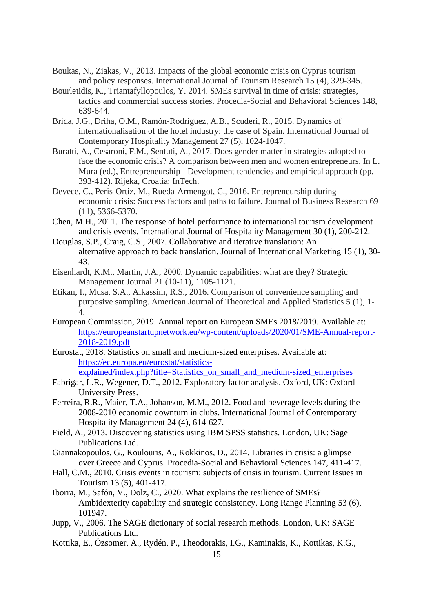- Boukas, N., Ziakas, V., 2013. Impacts of the global economic crisis on Cyprus tourism and policy responses. International Journal of Tourism Research 15 (4), 329-345.
- Bourletidis, K., Triantafyllopoulos, Y. 2014. SMEs survival in time of crisis: strategies, tactics and commercial success stories. Procedia-Social and Behavioral Sciences 148, 639-644.
- Brida, J.G., Driha, O.M., Ramón-Rodríguez, A.B., Scuderi, R., 2015. Dynamics of internationalisation of the hotel industry: the case of Spain. International Journal of Contemporary Hospitality Management 27 (5), 1024-1047.
- Buratti, A., Cesaroni, F.M., Sentuti, A., 2017. Does gender matter in strategies adopted to face the economic crisis? A comparison between men and women entrepreneurs. In L. Mura (ed.), Entrepreneurship - Development tendencies and empirical approach (pp. 393-412). Rijeka, Croatia: InTech.
- Devece, C., Peris-Ortiz, M., Rueda-Armengot, C., 2016. Entrepreneurship during economic crisis: Success factors and paths to failure. Journal of Business Research 69 (11), 5366-5370.
- Chen, M.H., 2011. The response of hotel performance to international tourism development and crisis events. International Journal of Hospitality Management 30 (1), 200-212.
- Douglas, S.P., Craig, C.S., 2007. Collaborative and iterative translation: An alternative approach to back translation. Journal of International Marketing 15 (1), 30- 43.
- Eisenhardt, K.M., Martin, J.A., 2000. Dynamic capabilities: what are they? Strategic Management Journal 21 (10‐11), 1105-1121.
- Etikan, I., Musa, S.A., Alkassim, R.S., 2016. Comparison of convenience sampling and purposive sampling. American Journal of Theoretical and Applied Statistics 5 (1), 1- 4.
- European Commission, 2019. Annual report on European SMEs 2018/2019. Available at: [https://europeanstartupnetwork.eu/wp-content/uploads/2020/01/SME-Annual-report-](https://europeanstartupnetwork.eu/wp-content/uploads/2020/01/SME-Annual-report-2018-2019.pdf)[2018-2019.pdf](https://europeanstartupnetwork.eu/wp-content/uploads/2020/01/SME-Annual-report-2018-2019.pdf)
- Eurostat, 2018. Statistics on small and medium-sized enterprises. Available at: [https://ec.europa.eu/eurostat/statistics](https://ec.europa.eu/eurostat/statistics-%20explained/index.php?title=Statistics_on_small_and_medium-sized_enterprises)[explained/index.php?title=Statistics\\_on\\_small\\_and\\_medium-sized\\_enterprises](https://ec.europa.eu/eurostat/statistics-%20explained/index.php?title=Statistics_on_small_and_medium-sized_enterprises)
- Fabrigar, L.R., Wegener, D.T., 2012. Exploratory factor analysis. Oxford, UK: Oxford University Press.
- Ferreira, R.R., Maier, T.A., Johanson, M.M., 2012. Food and beverage levels during the 2008‐2010 economic downturn in clubs. International Journal of Contemporary Hospitality Management 24 (4), 614-627.
- Field, A., 2013. Discovering statistics using IBM SPSS statistics. London, UK: Sage Publications Ltd.
- Giannakopoulos, G., Koulouris, A., Kokkinos, D., 2014. Libraries in crisis: a glimpse over Greece and Cyprus. Procedia-Social and Behavioral Sciences 147, 411-417.
- Hall, C.M., 2010. Crisis events in tourism: subjects of crisis in tourism. Current Issues in Tourism 13 (5), 401-417.
- Iborra, M., Safón, V., Dolz, C., 2020. What explains the resilience of SMEs? Ambidexterity capability and strategic consistency. Long Range Planning 53 (6), 101947.
- Jupp, V., 2006. The SAGE dictionary of social research methods. London, UK: SAGE Publications Ltd.
- Kottika, E., Özsomer, A., Rydén, P., Theodorakis, I.G., Kaminakis, K., Kottikas, K.G.,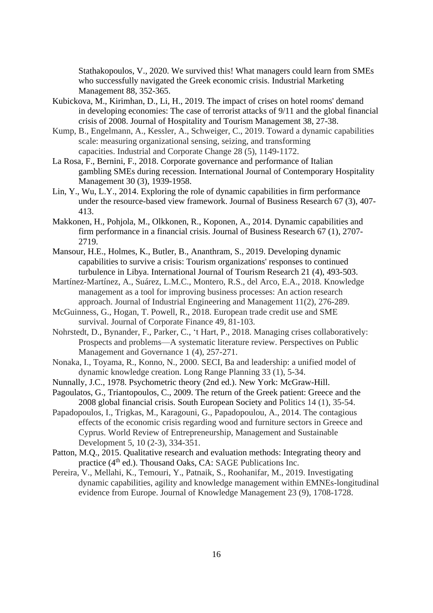Stathakopoulos, V., 2020. We survived this! What managers could learn from SMEs who successfully navigated the Greek economic crisis. Industrial Marketing Management 88, 352-365.

- Kubickova, M., Kirimhan, D., Li, H., 2019. The impact of crises on hotel rooms' demand in developing economies: The case of terrorist attacks of 9/11 and the global financial crisis of 2008. Journal of Hospitality and Tourism Management 38, 27-38.
- Kump, B., Engelmann, A., Kessler, A., Schweiger, C., 2019. Toward a dynamic capabilities scale: measuring organizational sensing, seizing, and transforming capacities. Industrial and Corporate Change 28 (5), 1149-1172.
- La Rosa, F., Bernini, F., 2018. Corporate governance and performance of Italian gambling SMEs during recession. International Journal of Contemporary Hospitality Management 30 (3), 1939-1958.
- Lin, Y., Wu, L.Y., 2014. Exploring the role of dynamic capabilities in firm performance under the resource-based view framework. Journal of Business Research 67 (3), 407- 413.
- Makkonen, H., Pohjola, M., Olkkonen, R., Koponen, A., 2014. Dynamic capabilities and firm performance in a financial crisis. Journal of Business Research 67 (1), 2707- 2719.
- Mansour, H.E., Holmes, K., Butler, B., Ananthram, S., 2019. Developing dynamic capabilities to survive a crisis: Tourism organizations' responses to continued turbulence in Libya. International Journal of Tourism Research 21 (4), 493-503.
- Martínez-Martínez, A., Suárez, L.M.C., Montero, R.S., del Arco, E.A., 2018. Knowledge management as a tool for improving business processes: An action research approach. Journal of Industrial Engineering and Management 11(2), 276-289.
- McGuinness, G., Hogan, T. Powell, R., 2018. European trade credit use and SME survival. Journal of Corporate Finance 49, 81-103.
- Nohrstedt, D., Bynander, F., Parker, C., 't Hart, P., 2018. Managing crises collaboratively: Prospects and problems—A systematic literature review. Perspectives on Public Management and Governance 1 (4), 257-271.
- Nonaka, I., Toyama, R., Konno, N., 2000. SECI, Ba and leadership: a unified model of dynamic knowledge creation. Long Range Planning 33 (1), 5-34.
- Nunnally, J.C., 1978. Psychometric theory (2nd ed.). New York: McGraw-Hill.
- Pagoulatos, G., Triantopoulos, C., 2009. The return of the Greek patient: Greece and the 2008 global financial crisis. South European Society and Politics 14 (1), 35-54.
- Papadopoulos, I., Trigkas, M., Karagouni, G., Papadopoulou, A., 2014. The contagious effects of the economic crisis regarding wood and furniture sectors in Greece and Cyprus. World Review of Entrepreneurship, Management and Sustainable Development 5, 10 (2-3), 334-351.
- Patton, M.Q., 2015. Qualitative research and evaluation methods: Integrating theory and practice (4<sup>th</sup> ed.). Thousand Oaks, CA: SAGE Publications Inc.
- Pereira, V., Mellahi, K., Temouri, Y., Patnaik, S., Roohanifar, M., 2019. Investigating dynamic capabilities, agility and knowledge management within EMNEs-longitudinal evidence from Europe. Journal of Knowledge Management 23 (9), 1708-1728.